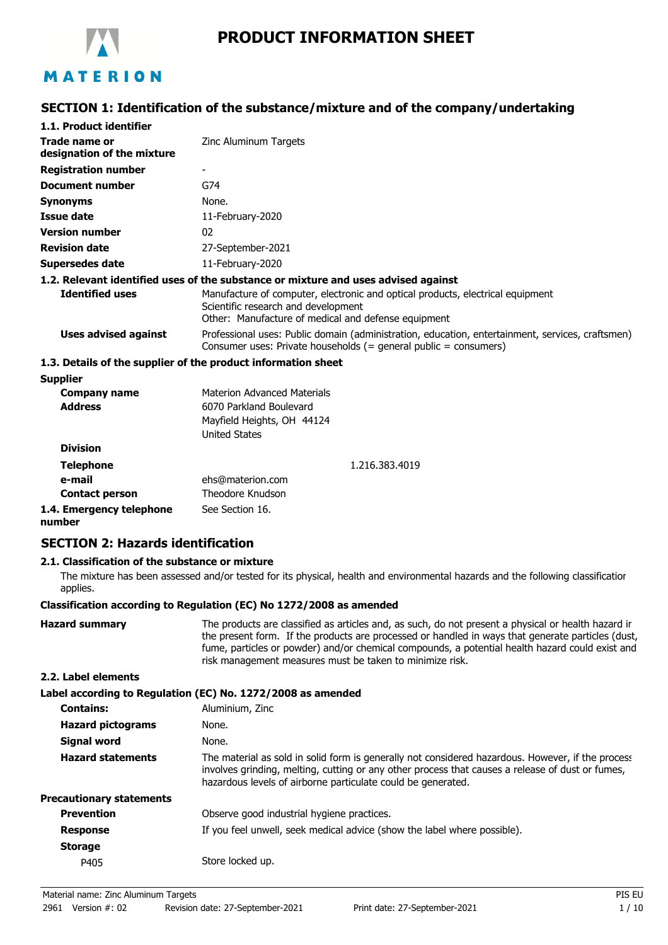

# **PRODUCT INFORMATION SHEET**

# **SECTION 1: Identification of the substance/mixture and of the company/undertaking**

| 1.1. Product identifier                                       |                                                                                                                                                                              |
|---------------------------------------------------------------|------------------------------------------------------------------------------------------------------------------------------------------------------------------------------|
| Trade name or<br>designation of the mixture                   | Zinc Aluminum Targets                                                                                                                                                        |
| <b>Registration number</b>                                    | ۰                                                                                                                                                                            |
| <b>Document number</b>                                        | G74                                                                                                                                                                          |
| <b>Synonyms</b>                                               | None.                                                                                                                                                                        |
| Issue date                                                    | 11-February-2020                                                                                                                                                             |
| <b>Version number</b>                                         | 02                                                                                                                                                                           |
| <b>Revision date</b>                                          | 27-September-2021                                                                                                                                                            |
| Supersedes date                                               | 11-February-2020                                                                                                                                                             |
|                                                               | 1.2. Relevant identified uses of the substance or mixture and uses advised against                                                                                           |
| <b>Identified uses</b>                                        | Manufacture of computer, electronic and optical products, electrical equipment<br>Scientific research and development<br>Other: Manufacture of medical and defense equipment |
| Uses advised against                                          | Professional uses: Public domain (administration, education, entertainment, services, craftsmen)<br>Consumer uses: Private households $(=$ general public $=$ consumers)     |
| 1.3. Details of the supplier of the product information sheet |                                                                                                                                                                              |

| <b>Supplier</b>                    |                                                                               |                |
|------------------------------------|-------------------------------------------------------------------------------|----------------|
| Company name                       | Materion Advanced Materials                                                   |                |
| <b>Address</b>                     | 6070 Parkland Boulevard<br>Mayfield Heights, OH 44124<br><b>United States</b> |                |
| <b>Division</b>                    |                                                                               |                |
| <b>Telephone</b>                   |                                                                               | 1.216.383.4019 |
| e-mail                             | ehs@materion.com                                                              |                |
| <b>Contact person</b>              | Theodore Knudson                                                              |                |
| 1.4. Emergency telephone<br>number | See Section 16.                                                               |                |

# **SECTION 2: Hazards identification**

#### **2.1. Classification of the substance or mixture**

The mixture has been assessed and/or tested for its physical, health and environmental hazards and the following classification applies.

#### **Classification according to Regulation (EC) No 1272/2008 as amended**

| <b>Hazard summary</b>           | The products are classified as articles and, as such, do not present a physical or health hazard ir<br>the present form. If the products are processed or handled in ways that generate particles (dust,<br>fume, particles or powder) and/or chemical compounds, a potential health hazard could exist and<br>risk management measures must be taken to minimize risk. |
|---------------------------------|-------------------------------------------------------------------------------------------------------------------------------------------------------------------------------------------------------------------------------------------------------------------------------------------------------------------------------------------------------------------------|
| 2.2. Label elements             |                                                                                                                                                                                                                                                                                                                                                                         |
|                                 | Label according to Regulation (EC) No. 1272/2008 as amended                                                                                                                                                                                                                                                                                                             |
| <b>Contains:</b>                | Aluminium, Zinc                                                                                                                                                                                                                                                                                                                                                         |
| <b>Hazard pictograms</b>        | None.                                                                                                                                                                                                                                                                                                                                                                   |
| Signal word                     | None.                                                                                                                                                                                                                                                                                                                                                                   |
| <b>Hazard statements</b>        | The material as sold in solid form is generally not considered hazardous. However, if the process<br>involves grinding, melting, cutting or any other process that causes a release of dust or fumes,<br>hazardous levels of airborne particulate could be generated.                                                                                                   |
| <b>Precautionary statements</b> |                                                                                                                                                                                                                                                                                                                                                                         |
| <b>Prevention</b>               | Observe good industrial hygiene practices.                                                                                                                                                                                                                                                                                                                              |
| <b>Response</b>                 | If you feel unwell, seek medical advice (show the label where possible).                                                                                                                                                                                                                                                                                                |
| <b>Storage</b>                  |                                                                                                                                                                                                                                                                                                                                                                         |
| P405                            | Store locked up.                                                                                                                                                                                                                                                                                                                                                        |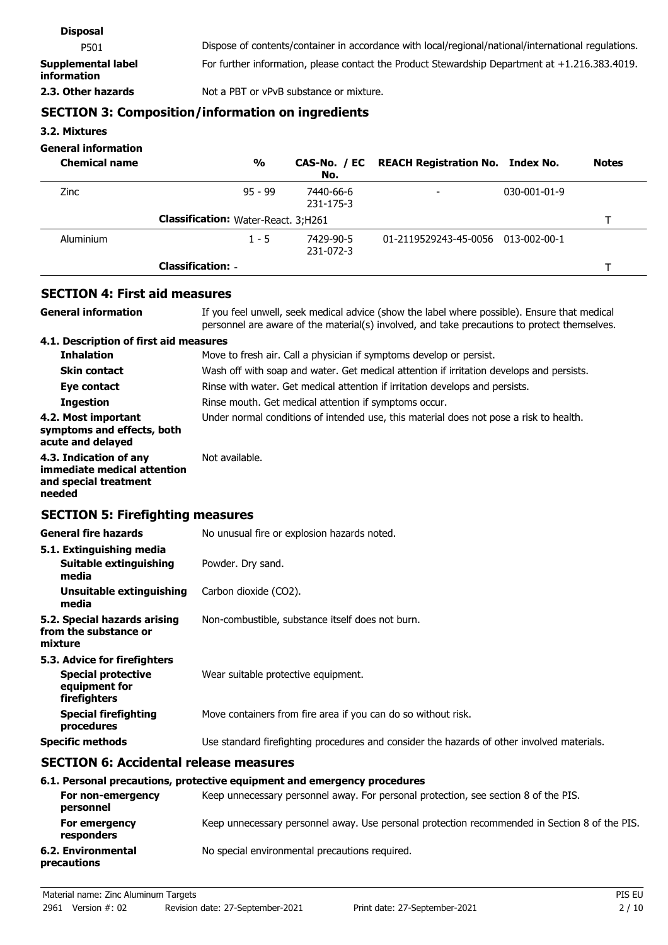| <b>Disposal</b>                          |                                                                                                     |
|------------------------------------------|-----------------------------------------------------------------------------------------------------|
| P501                                     | Dispose of contents/container in accordance with local/regional/national/international regulations. |
| Supplemental label<br><b>information</b> | For further information, please contact the Product Stewardship Department at +1.216.383.4019.      |
| 2.3. Other hazards                       | Not a PBT or vPvB substance or mixture.                                                             |
|                                          |                                                                                                     |

## **SECTION 3: Composition/information on ingredients**

**3.2. Mixtures**

## **General information**

| <b>Chemical name</b> |                                            | $\frac{0}{0}$ | No.                    | CAS-No. / EC REACH Registration No. Index No. |                      | <b>Notes</b> |
|----------------------|--------------------------------------------|---------------|------------------------|-----------------------------------------------|----------------------|--------------|
| <b>Zinc</b>          |                                            | $95 - 99$     | 7440-66-6<br>231-175-3 |                                               | $030 - 001 - 01 - 9$ |              |
|                      | <b>Classification:</b> Water-React. 3;H261 |               |                        |                                               |                      |              |
| Aluminium            |                                            | $1 - 5$       | 7429-90-5<br>231-072-3 | 01-2119529243-45-0056 013-002-00-1            |                      |              |
|                      | <b>Classification: -</b>                   |               |                        |                                               |                      |              |

# **SECTION 4: First aid measures**

| <b>General information</b>                                                                 | If you feel unwell, seek medical advice (show the label where possible). Ensure that medical<br>personnel are aware of the material(s) involved, and take precautions to protect themselves. |
|--------------------------------------------------------------------------------------------|----------------------------------------------------------------------------------------------------------------------------------------------------------------------------------------------|
| 4.1. Description of first aid measures                                                     |                                                                                                                                                                                              |
| <b>Inhalation</b>                                                                          | Move to fresh air. Call a physician if symptoms develop or persist.                                                                                                                          |
| <b>Skin contact</b>                                                                        | Wash off with soap and water. Get medical attention if irritation develops and persists.                                                                                                     |
| Eye contact                                                                                | Rinse with water. Get medical attention if irritation develops and persists.                                                                                                                 |
| <b>Ingestion</b>                                                                           | Rinse mouth. Get medical attention if symptoms occur.                                                                                                                                        |
| 4.2. Most important<br>symptoms and effects, both<br>acute and delayed                     | Under normal conditions of intended use, this material does not pose a risk to health.                                                                                                       |
| 4.3. Indication of any<br>immediate medical attention<br>and special treatment<br>needed   | Not available.                                                                                                                                                                               |
| <b>SECTION 5: Firefighting measures</b>                                                    |                                                                                                                                                                                              |
| <b>General fire hazards</b>                                                                | No unusual fire or explosion hazards noted.                                                                                                                                                  |
| 5.1. Extinguishing media                                                                   |                                                                                                                                                                                              |
| Suitable extinguishing<br>media                                                            | Powder. Dry sand.                                                                                                                                                                            |
| <b>Unsuitable extinguishing</b><br>media                                                   | Carbon dioxide (CO2).                                                                                                                                                                        |
| 5.2. Special hazards arising<br>from the substance or<br>mixture                           | Non-combustible, substance itself does not burn.                                                                                                                                             |
| 5.3. Advice for firefighters<br><b>Special protective</b><br>equipment for<br>firefighters | Wear suitable protective equipment.                                                                                                                                                          |
| <b>Special firefighting</b><br>procedures                                                  | Move containers from fire area if you can do so without risk.                                                                                                                                |

#### **Specific methods** Use standard firefighting procedures and consider the hazards of other involved materials.

#### **SECTION 6: Accidental release measures**

### **6.1. Personal precautions, protective equipment and emergency procedures**

| For non-emergency<br>personnel    | Keep unnecessary personnel away. For personal protection, see section 8 of the PIS.           |
|-----------------------------------|-----------------------------------------------------------------------------------------------|
| For emergency<br>responders       | Keep unnecessary personnel away. Use personal protection recommended in Section 8 of the PIS. |
| 6.2. Environmental<br>precautions | No special environmental precautions required.                                                |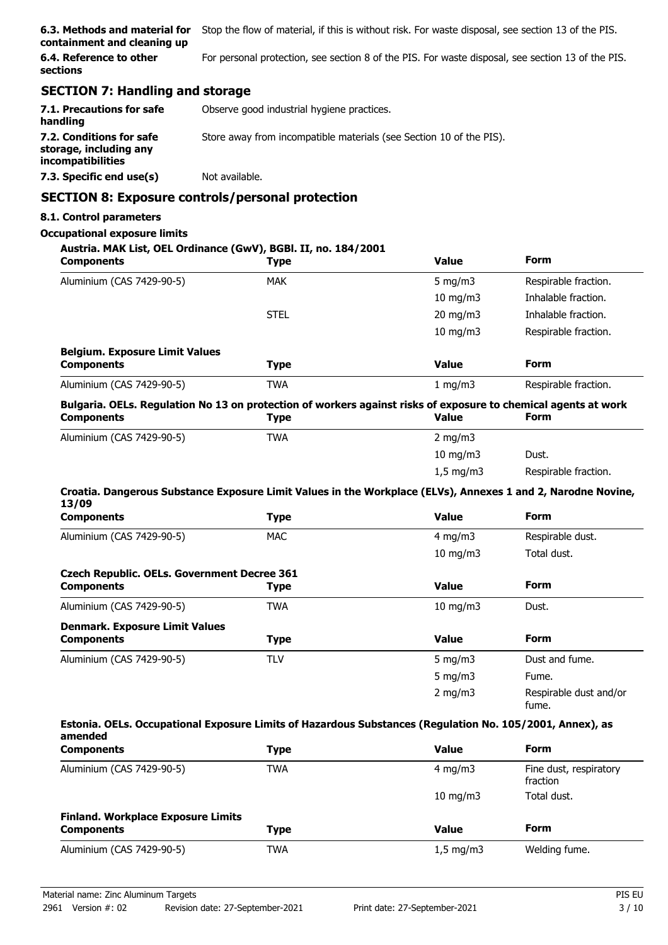| 6.3. Methods and material for<br>containment and cleaning up            | Stop the flow of material, if this is without risk. For waste disposal, see section 13 of the PIS.                            |                   |                                    |
|-------------------------------------------------------------------------|-------------------------------------------------------------------------------------------------------------------------------|-------------------|------------------------------------|
| 6.4. Reference to other<br>sections                                     | For personal protection, see section 8 of the PIS. For waste disposal, see section 13 of the PIS.                             |                   |                                    |
| <b>SECTION 7: Handling and storage</b>                                  |                                                                                                                               |                   |                                    |
| 7.1. Precautions for safe<br>handling                                   | Observe good industrial hygiene practices.                                                                                    |                   |                                    |
| 7.2. Conditions for safe<br>storage, including any<br>incompatibilities | Store away from incompatible materials (see Section 10 of the PIS).                                                           |                   |                                    |
| 7.3. Specific end use(s)                                                | Not available.                                                                                                                |                   |                                    |
|                                                                         | <b>SECTION 8: Exposure controls/personal protection</b>                                                                       |                   |                                    |
| 8.1. Control parameters                                                 |                                                                                                                               |                   |                                    |
| <b>Occupational exposure limits</b>                                     |                                                                                                                               |                   |                                    |
| <b>Components</b>                                                       | Austria. MAK List, OEL Ordinance (GwV), BGBI. II, no. 184/2001<br><b>Type</b>                                                 | <b>Value</b>      | Form                               |
| Aluminium (CAS 7429-90-5)                                               | <b>MAK</b>                                                                                                                    | 5 mg/m $3$        | Respirable fraction.               |
|                                                                         |                                                                                                                               | $10 \text{ mg/m}$ | Inhalable fraction.                |
|                                                                         | <b>STEL</b>                                                                                                                   | 20 mg/m3          | Inhalable fraction.                |
|                                                                         |                                                                                                                               | $10 \text{ mg/m}$ | Respirable fraction.               |
| <b>Belgium. Exposure Limit Values</b><br><b>Components</b>              | <b>Type</b>                                                                                                                   | <b>Value</b>      | Form                               |
| Aluminium (CAS 7429-90-5)                                               | <b>TWA</b>                                                                                                                    | 1 mg/m $3$        | Respirable fraction.               |
| <b>Components</b>                                                       | Bulgaria. OELs. Regulation No 13 on protection of workers against risks of exposure to chemical agents at work<br><b>Type</b> | <b>Value</b>      | Form                               |
| Aluminium (CAS 7429-90-5)                                               | <b>TWA</b>                                                                                                                    | 2 mg/m $3$        |                                    |
|                                                                         |                                                                                                                               | $10$ mg/m $3$     | Dust.                              |
|                                                                         |                                                                                                                               | $1,5$ mg/m3       | Respirable fraction.               |
| 13/09                                                                   | Croatia. Dangerous Substance Exposure Limit Values in the Workplace (ELVs), Annexes 1 and 2, Narodne Novine,                  |                   |                                    |
| <b>Components</b>                                                       | <b>Type</b>                                                                                                                   | <b>Value</b>      | <b>Form</b>                        |
| Aluminium (CAS 7429-90-5)                                               | <b>MAC</b>                                                                                                                    | $4$ mg/m $3$      | Respirable dust.                   |
|                                                                         |                                                                                                                               | $10 \text{ mg/m}$ | Total dust.                        |
| <b>Czech Republic. OELs. Government Decree 361</b>                      |                                                                                                                               |                   |                                    |
| <b>Components</b>                                                       | <b>Type</b>                                                                                                                   | <b>Value</b>      | <b>Form</b>                        |
| Aluminium (CAS 7429-90-5)                                               | <b>TWA</b>                                                                                                                    | $10 \text{ mg/m}$ | Dust.                              |
| <b>Denmark. Exposure Limit Values</b><br><b>Components</b>              | <b>Type</b>                                                                                                                   | <b>Value</b>      | <b>Form</b>                        |
| Aluminium (CAS 7429-90-5)                                               | <b>TLV</b>                                                                                                                    | $5$ mg/m $3$      | Dust and fume.                     |
|                                                                         |                                                                                                                               | 5 mg/m $3$        | Fume.                              |
|                                                                         |                                                                                                                               | $2$ mg/m $3$      | Respirable dust and/or<br>fume.    |
| amended                                                                 | Estonia. OELs. Occupational Exposure Limits of Hazardous Substances (Regulation No. 105/2001, Annex), as                      |                   |                                    |
| <b>Components</b>                                                       | <b>Type</b>                                                                                                                   | <b>Value</b>      | <b>Form</b>                        |
| Aluminium (CAS 7429-90-5)                                               | <b>TWA</b>                                                                                                                    | 4 mg/m $3$        | Fine dust, respiratory<br>fraction |
|                                                                         |                                                                                                                               | $10 \text{ mA/m}$ | Total dust                         |

|                                           |            | - 2011 11 2        | .             |
|-------------------------------------------|------------|--------------------|---------------|
| <b>Finland. Workplace Exposure Limits</b> |            |                    |               |
| <b>Components</b>                         | Type       | Value              | Form          |
| Aluminium (CAS 7429-90-5)                 | <b>TWA</b> | $1.5 \text{ mg/m}$ | Welding fume. |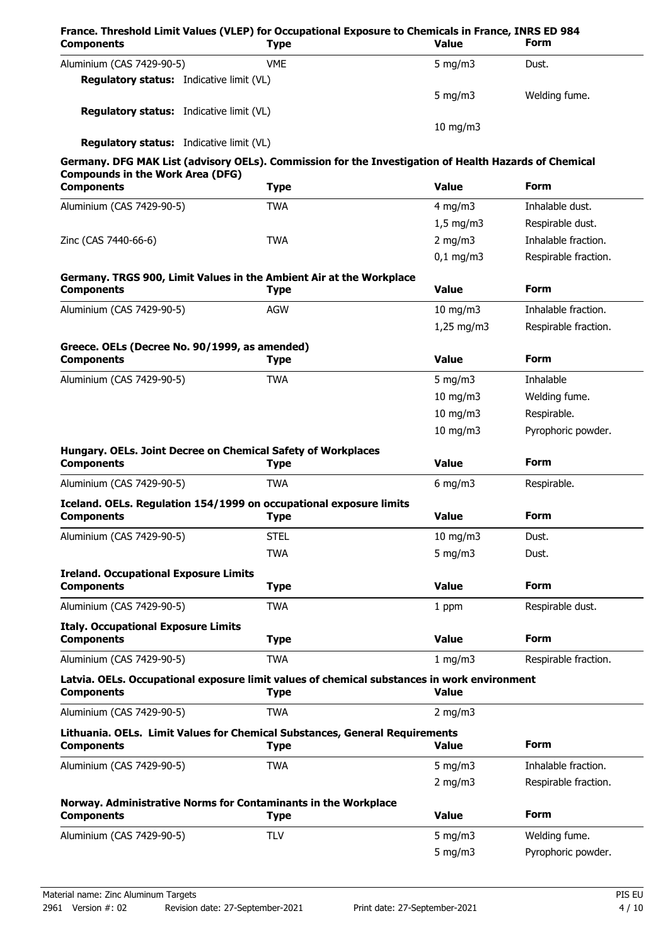| France. Threshold Limit Values (VLEP) for Occupational Exposure to Chemicals in France, INRS ED 984<br><b>Components</b>                         | <b>Type</b> | Value              | Form                 |
|--------------------------------------------------------------------------------------------------------------------------------------------------|-------------|--------------------|----------------------|
| Aluminium (CAS 7429-90-5)                                                                                                                        | <b>VME</b>  | 5 mg/m $3$         | Dust.                |
| <b>Regulatory status:</b> Indicative limit (VL)                                                                                                  |             |                    |                      |
|                                                                                                                                                  |             | $5 \text{ mg/m}$   | Welding fume.        |
| <b>Regulatory status:</b> Indicative limit (VL)                                                                                                  |             |                    |                      |
| <b>Regulatory status:</b> Indicative limit (VL)                                                                                                  |             | 10 mg/m3           |                      |
|                                                                                                                                                  |             |                    |                      |
| Germany. DFG MAK List (advisory OELs). Commission for the Investigation of Health Hazards of Chemical<br><b>Compounds in the Work Area (DFG)</b> |             |                    |                      |
| <b>Components</b>                                                                                                                                | <b>Type</b> | <b>Value</b>       | <b>Form</b>          |
| Aluminium (CAS 7429-90-5)                                                                                                                        | <b>TWA</b>  | 4 mg/m $3$         | Inhalable dust.      |
|                                                                                                                                                  |             | $1,5 \text{ mg/m}$ | Respirable dust.     |
| Zinc (CAS 7440-66-6)                                                                                                                             | <b>TWA</b>  | 2 mg/m $3$         | Inhalable fraction.  |
|                                                                                                                                                  |             | $0,1$ mg/m3        | Respirable fraction. |
| Germany. TRGS 900, Limit Values in the Ambient Air at the Workplace                                                                              |             |                    |                      |
| <b>Components</b>                                                                                                                                | <b>Type</b> | <b>Value</b>       | <b>Form</b>          |
| Aluminium (CAS 7429-90-5)                                                                                                                        | <b>AGW</b>  | $10$ mg/m $3$      | Inhalable fraction.  |
|                                                                                                                                                  |             | $1,25$ mg/m3       | Respirable fraction. |
| Greece. OELs (Decree No. 90/1999, as amended)                                                                                                    |             |                    |                      |
| <b>Components</b>                                                                                                                                | <b>Type</b> | <b>Value</b>       | Form                 |
| Aluminium (CAS 7429-90-5)                                                                                                                        | <b>TWA</b>  | 5 mg/m $3$         | Inhalable            |
|                                                                                                                                                  |             | $10$ mg/m $3$      | Welding fume.        |
|                                                                                                                                                  |             | $10$ mg/m $3$      | Respirable.          |
|                                                                                                                                                  |             | $10$ mg/m $3$      | Pyrophoric powder.   |
| Hungary. OELs. Joint Decree on Chemical Safety of Workplaces                                                                                     |             |                    |                      |
| <b>Components</b>                                                                                                                                | <b>Type</b> | <b>Value</b>       | <b>Form</b>          |
| Aluminium (CAS 7429-90-5)                                                                                                                        | <b>TWA</b>  | $6$ mg/m $3$       | Respirable.          |
| Iceland. OELs. Regulation 154/1999 on occupational exposure limits<br><b>Components</b>                                                          | <b>Type</b> | <b>Value</b>       | <b>Form</b>          |
| Aluminium (CAS 7429-90-5)                                                                                                                        | <b>STEL</b> | $10$ mg/m $3$      | Dust.                |
|                                                                                                                                                  | <b>TWA</b>  | $5$ mg/m $3$       | Dust.                |
|                                                                                                                                                  |             |                    |                      |
| <b>Ireland. Occupational Exposure Limits</b><br><b>Components</b>                                                                                | <b>Type</b> | <b>Value</b>       | <b>Form</b>          |
| Aluminium (CAS 7429-90-5)                                                                                                                        | <b>TWA</b>  | 1 ppm              | Respirable dust.     |
|                                                                                                                                                  |             |                    |                      |
| <b>Italy. Occupational Exposure Limits</b><br><b>Components</b>                                                                                  | <b>Type</b> | <b>Value</b>       | <b>Form</b>          |
| Aluminium (CAS 7429-90-5)                                                                                                                        | <b>TWA</b>  | 1 mg/m3            | Respirable fraction. |
| Latvia. OELs. Occupational exposure limit values of chemical substances in work environment                                                      |             |                    |                      |
| <b>Components</b>                                                                                                                                | <b>Type</b> | <b>Value</b>       |                      |
| Aluminium (CAS 7429-90-5)                                                                                                                        | <b>TWA</b>  | 2 mg/m $3$         |                      |
| Lithuania. OELs. Limit Values for Chemical Substances, General Requirements                                                                      |             |                    |                      |
| <b>Components</b>                                                                                                                                | <b>Type</b> | <b>Value</b>       | <b>Form</b>          |
| Aluminium (CAS 7429-90-5)                                                                                                                        | <b>TWA</b>  | 5 mg/m $3$         | Inhalable fraction.  |
|                                                                                                                                                  |             | 2 mg/m $3$         | Respirable fraction. |
| Norway. Administrative Norms for Contaminants in the Workplace                                                                                   |             |                    |                      |
| <b>Components</b>                                                                                                                                | <b>Type</b> | <b>Value</b>       | <b>Form</b>          |
|                                                                                                                                                  |             |                    |                      |
| Aluminium (CAS 7429-90-5)                                                                                                                        | <b>TLV</b>  | $5$ mg/m $3$       | Welding fume.        |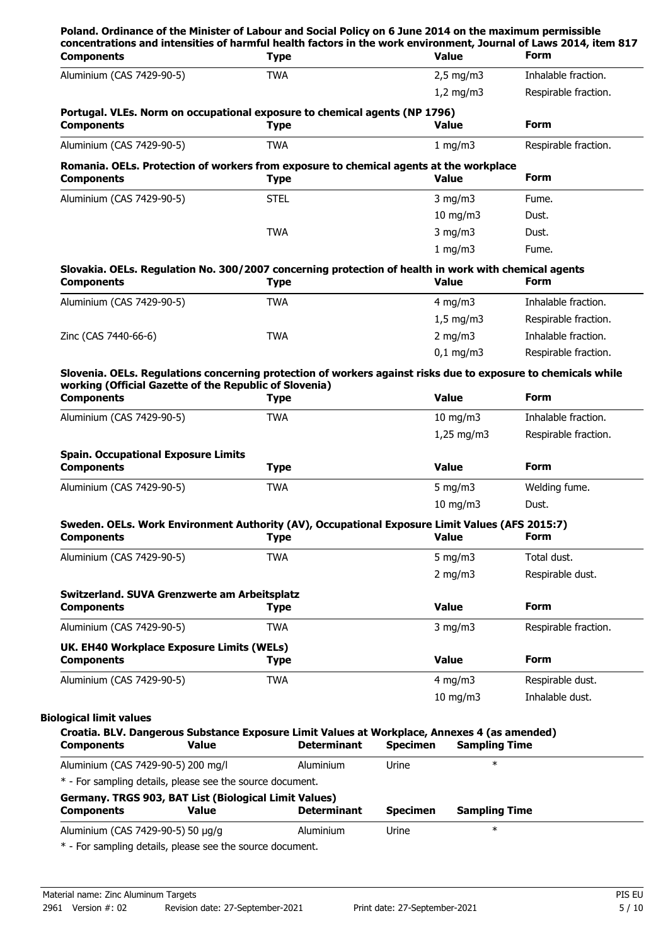| <b>Components</b>                                                                                                                                                        |                                                                                                              | <b>Type</b> |                    |                 | Value                          | concentrations and intensities of harmful health factors in the work environment, Journal of Laws 2014, item 817<br><b>Form</b> |
|--------------------------------------------------------------------------------------------------------------------------------------------------------------------------|--------------------------------------------------------------------------------------------------------------|-------------|--------------------|-----------------|--------------------------------|---------------------------------------------------------------------------------------------------------------------------------|
| Aluminium (CAS 7429-90-5)                                                                                                                                                |                                                                                                              | <b>TWA</b>  |                    |                 | $2,5$ mg/m3                    | Inhalable fraction.                                                                                                             |
|                                                                                                                                                                          |                                                                                                              |             |                    |                 | $1,2$ mg/m $3$                 | Respirable fraction.                                                                                                            |
| <b>Components</b>                                                                                                                                                        | Portugal. VLEs. Norm on occupational exposure to chemical agents (NP 1796)                                   | <b>Type</b> |                    |                 | <b>Value</b>                   | <b>Form</b>                                                                                                                     |
| Aluminium (CAS 7429-90-5)                                                                                                                                                |                                                                                                              | <b>TWA</b>  |                    |                 | $1 \text{ mg/m}$               | Respirable fraction.                                                                                                            |
| <b>Components</b>                                                                                                                                                        | Romania. OELs. Protection of workers from exposure to chemical agents at the workplace                       | <b>Type</b> |                    |                 | <b>Value</b>                   | <b>Form</b>                                                                                                                     |
| Aluminium (CAS 7429-90-5)                                                                                                                                                |                                                                                                              | <b>STEL</b> |                    |                 | $3$ mg/m $3$                   | Fume.                                                                                                                           |
|                                                                                                                                                                          |                                                                                                              |             |                    |                 | $10$ mg/m $3$                  | Dust.                                                                                                                           |
|                                                                                                                                                                          |                                                                                                              | <b>TWA</b>  |                    |                 | $3$ mg/m $3$                   | Dust.                                                                                                                           |
|                                                                                                                                                                          |                                                                                                              |             |                    |                 | 1 mg/m3                        | Fume.                                                                                                                           |
| <b>Components</b>                                                                                                                                                        | Slovakia. OELs. Regulation No. 300/2007 concerning protection of health in work with chemical agents         | <b>Type</b> |                    |                 | <b>Value</b>                   | <b>Form</b>                                                                                                                     |
| Aluminium (CAS 7429-90-5)                                                                                                                                                |                                                                                                              | <b>TWA</b>  |                    |                 | 4 mg/m $3$                     | Inhalable fraction.                                                                                                             |
|                                                                                                                                                                          |                                                                                                              |             |                    |                 | $1,5$ mg/m3                    | Respirable fraction.                                                                                                            |
| Zinc (CAS 7440-66-6)                                                                                                                                                     |                                                                                                              | <b>TWA</b>  |                    |                 | $2$ mg/m $3$                   | Inhalable fraction.                                                                                                             |
|                                                                                                                                                                          |                                                                                                              |             |                    |                 | $0,1$ mg/m3                    | Respirable fraction.                                                                                                            |
|                                                                                                                                                                          |                                                                                                              |             |                    |                 |                                | Slovenia. OELs. Regulations concerning protection of workers against risks due to exposure to chemicals while                   |
|                                                                                                                                                                          | working (Official Gazette of the Republic of Slovenia)                                                       |             |                    |                 |                                |                                                                                                                                 |
| <b>Components</b>                                                                                                                                                        |                                                                                                              | <b>Type</b> |                    |                 | <b>Value</b>                   | <b>Form</b>                                                                                                                     |
| Aluminium (CAS 7429-90-5)                                                                                                                                                |                                                                                                              | <b>TWA</b>  |                    |                 | $10$ mg/m $3$                  | Inhalable fraction.                                                                                                             |
| <b>Components</b>                                                                                                                                                        | <b>Spain. Occupational Exposure Limits</b>                                                                   | <b>Type</b> |                    |                 | <b>Value</b>                   | <b>Form</b>                                                                                                                     |
| Aluminium (CAS 7429-90-5)                                                                                                                                                |                                                                                                              | <b>TWA</b>  |                    |                 | 5 mg/m $3$                     | Welding fume.                                                                                                                   |
|                                                                                                                                                                          |                                                                                                              |             |                    |                 | 10 mg/m3                       | Dust.                                                                                                                           |
| <b>Components</b>                                                                                                                                                        | Sweden. OELs. Work Environment Authority (AV), Occupational Exposure Limit Values (AFS 2015:7)               | <b>Type</b> |                    |                 | <b>Value</b>                   | Form                                                                                                                            |
| Aluminium (CAS 7429-90-5)                                                                                                                                                |                                                                                                              | <b>TWA</b>  |                    |                 | 5 mg/m $3$                     | Total dust.                                                                                                                     |
|                                                                                                                                                                          |                                                                                                              |             |                    |                 | 2 mg/m $3$                     | Respirable dust.                                                                                                                |
| <b>Components</b>                                                                                                                                                        | Switzerland. SUVA Grenzwerte am Arbeitsplatz                                                                 | <b>Type</b> |                    |                 | <b>Value</b>                   | <b>Form</b>                                                                                                                     |
|                                                                                                                                                                          |                                                                                                              | <b>TWA</b>  |                    |                 | $3$ mg/m $3$                   | Respirable fraction.                                                                                                            |
|                                                                                                                                                                          |                                                                                                              |             |                    |                 |                                |                                                                                                                                 |
|                                                                                                                                                                          |                                                                                                              |             |                    |                 |                                |                                                                                                                                 |
|                                                                                                                                                                          | UK. EH40 Workplace Exposure Limits (WELs)                                                                    | <b>Type</b> |                    |                 | <b>Value</b>                   | <b>Form</b>                                                                                                                     |
|                                                                                                                                                                          |                                                                                                              | <b>TWA</b>  |                    |                 | 4 mg/m $3$                     | Respirable dust.                                                                                                                |
|                                                                                                                                                                          |                                                                                                              |             |                    |                 | $10$ mg/m $3$                  | Inhalable dust.                                                                                                                 |
|                                                                                                                                                                          | Croatia. BLV. Dangerous Substance Exposure Limit Values at Workplace, Annexes 4 (as amended)<br><b>Value</b> |             | <b>Determinant</b> | <b>Specimen</b> | <b>Sampling Time</b><br>$\ast$ |                                                                                                                                 |
|                                                                                                                                                                          |                                                                                                              |             | Aluminium          | Urine           |                                |                                                                                                                                 |
| Aluminium (CAS 7429-90-5)<br><b>Components</b><br>Aluminium (CAS 7429-90-5)<br><b>Biological limit values</b><br><b>Components</b><br>Aluminium (CAS 7429-90-5) 200 mg/l | * - For sampling details, please see the source document.                                                    |             |                    |                 |                                |                                                                                                                                 |
| <b>Components</b>                                                                                                                                                        | Germany. TRGS 903, BAT List (Biological Limit Values)<br><b>Value</b>                                        |             | <b>Determinant</b> | <b>Specimen</b> | <b>Sampling Time</b>           |                                                                                                                                 |

Material name: Zinc Aluminum Targets PIS EU 2961 Version #: 02 Revision date: 27-September-2021 Print date: 27-September-2021 5/10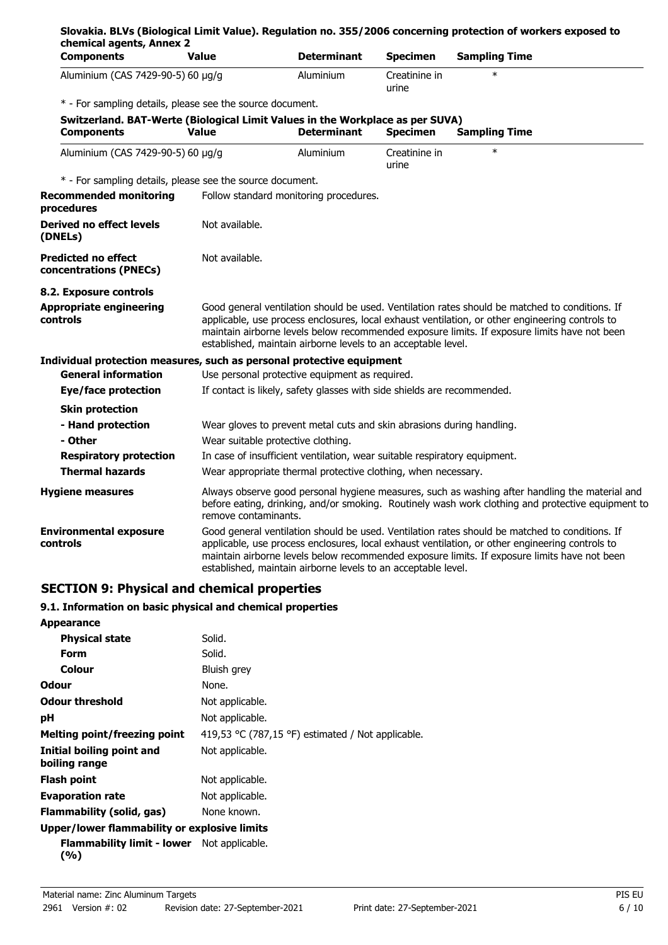|                                                                               | <b>Value</b>                       | <b>Determinant</b>                                                        | <b>Specimen</b>        | <b>Sampling Time</b>                                                                                                                                                                                                                                                                              |
|-------------------------------------------------------------------------------|------------------------------------|---------------------------------------------------------------------------|------------------------|---------------------------------------------------------------------------------------------------------------------------------------------------------------------------------------------------------------------------------------------------------------------------------------------------|
| Aluminium (CAS 7429-90-5) 60 µg/g                                             |                                    | Aluminium                                                                 | Creatinine in<br>urine | $\star$                                                                                                                                                                                                                                                                                           |
| * - For sampling details, please see the source document.                     |                                    |                                                                           |                        |                                                                                                                                                                                                                                                                                                   |
| Switzerland. BAT-Werte (Biological Limit Values in the Workplace as per SUVA) |                                    |                                                                           |                        |                                                                                                                                                                                                                                                                                                   |
| <b>Components</b>                                                             | <b>Value</b>                       | <b>Determinant</b>                                                        | <b>Specimen</b>        | <b>Sampling Time</b>                                                                                                                                                                                                                                                                              |
| Aluminium (CAS 7429-90-5) 60 μg/g                                             |                                    | Aluminium                                                                 | Creatinine in<br>urine | $\ast$                                                                                                                                                                                                                                                                                            |
| * - For sampling details, please see the source document.                     |                                    |                                                                           |                        |                                                                                                                                                                                                                                                                                                   |
| <b>Recommended monitoring</b><br>procedures                                   |                                    | Follow standard monitoring procedures.                                    |                        |                                                                                                                                                                                                                                                                                                   |
| <b>Derived no effect levels</b><br>(DNELs)                                    | Not available.                     |                                                                           |                        |                                                                                                                                                                                                                                                                                                   |
| <b>Predicted no effect</b><br>concentrations (PNECs)                          | Not available.                     |                                                                           |                        |                                                                                                                                                                                                                                                                                                   |
| 8.2. Exposure controls                                                        |                                    |                                                                           |                        |                                                                                                                                                                                                                                                                                                   |
| <b>Appropriate engineering</b><br>controls                                    |                                    | established, maintain airborne levels to an acceptable level.             |                        | Good general ventilation should be used. Ventilation rates should be matched to conditions. If<br>applicable, use process enclosures, local exhaust ventilation, or other engineering controls to<br>maintain airborne levels below recommended exposure limits. If exposure limits have not been |
| Individual protection measures, such as personal protective equipment         |                                    |                                                                           |                        |                                                                                                                                                                                                                                                                                                   |
|                                                                               |                                    |                                                                           |                        |                                                                                                                                                                                                                                                                                                   |
| <b>General information</b>                                                    |                                    | Use personal protective equipment as required.                            |                        |                                                                                                                                                                                                                                                                                                   |
| Eye/face protection                                                           |                                    | If contact is likely, safety glasses with side shields are recommended.   |                        |                                                                                                                                                                                                                                                                                                   |
| <b>Skin protection</b>                                                        |                                    |                                                                           |                        |                                                                                                                                                                                                                                                                                                   |
| - Hand protection                                                             |                                    | Wear gloves to prevent metal cuts and skin abrasions during handling.     |                        |                                                                                                                                                                                                                                                                                                   |
| - Other                                                                       | Wear suitable protective clothing. |                                                                           |                        |                                                                                                                                                                                                                                                                                                   |
| <b>Respiratory protection</b>                                                 |                                    | In case of insufficient ventilation, wear suitable respiratory equipment. |                        |                                                                                                                                                                                                                                                                                                   |
| <b>Thermal hazards</b>                                                        |                                    | Wear appropriate thermal protective clothing, when necessary.             |                        |                                                                                                                                                                                                                                                                                                   |
| <b>Hygiene measures</b>                                                       | remove contaminants.               |                                                                           |                        | Always observe good personal hygiene measures, such as washing after handling the material and<br>before eating, drinking, and/or smoking. Routinely wash work clothing and protective equipment to                                                                                               |

#### **9.1. Information on basic physical and chemical properties**

| <b>Appearance</b>                                        |                                                   |
|----------------------------------------------------------|---------------------------------------------------|
| <b>Physical state</b>                                    | Solid.                                            |
| Form                                                     | Solid.                                            |
| Colour                                                   | Bluish grey                                       |
| Odour                                                    | None.                                             |
| <b>Odour threshold</b>                                   | Not applicable.                                   |
| рH                                                       | Not applicable.                                   |
| Melting point/freezing point                             | 419,53 °C (787,15 °F) estimated / Not applicable. |
| Initial boiling point and<br>boiling range               | Not applicable.                                   |
| <b>Flash point</b>                                       | Not applicable.                                   |
| <b>Evaporation rate</b>                                  | Not applicable.                                   |
| Flammability (solid, gas)                                | None known.                                       |
| Upper/lower flammability or explosive limits             |                                                   |
| <b>Flammability limit - lower</b> Not applicable.<br>(%) |                                                   |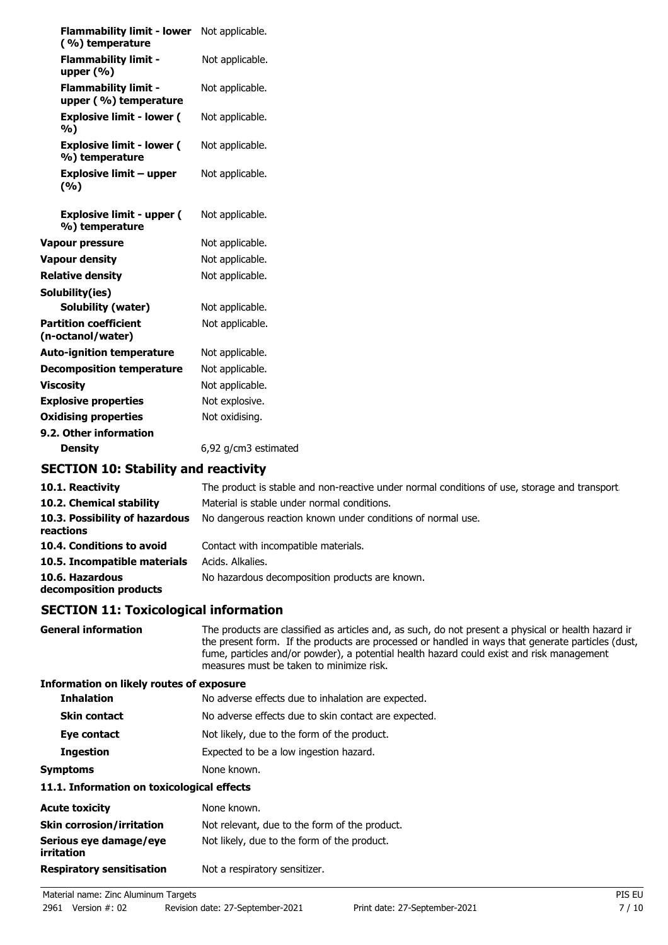| <b>Flammability limit - lower</b><br>(%) temperature | Not applicable.      |
|------------------------------------------------------|----------------------|
| <b>Flammability limit -</b><br>upper $(% )$          | Not applicable.      |
| <b>Flammability limit -</b><br>upper (%) temperature | Not applicable.      |
| <b>Explosive limit - lower (</b><br>%)               | Not applicable.      |
| <b>Explosive limit - lower (</b><br>%) temperature   | Not applicable.      |
| <b>Explosive limit - upper</b><br>(%)                | Not applicable.      |
| <b>Explosive limit - upper (</b><br>%) temperature   | Not applicable.      |
| Vapour pressure                                      | Not applicable.      |
| <b>Vapour density</b>                                | Not applicable.      |
| <b>Relative density</b>                              | Not applicable.      |
| Solubility(ies)                                      |                      |
| <b>Solubility (water)</b>                            | Not applicable.      |
| <b>Partition coefficient</b><br>(n-octanol/water)    | Not applicable.      |
| <b>Auto-ignition temperature</b>                     | Not applicable.      |
| <b>Decomposition temperature</b>                     | Not applicable.      |
| <b>Viscosity</b>                                     | Not applicable.      |
| <b>Explosive properties</b>                          | Not explosive.       |
| <b>Oxidising properties</b>                          | Not oxidising.       |
| 9.2. Other information                               |                      |
| <b>Density</b>                                       | 6,92 g/cm3 estimated |
|                                                      |                      |

### **SECTION 10: Stability and reactivity**

| 10.1. Reactivity                            | The product is stable and non-reactive under normal conditions of use, storage and transport. |
|---------------------------------------------|-----------------------------------------------------------------------------------------------|
| 10.2. Chemical stability                    | Material is stable under normal conditions.                                                   |
| 10.3. Possibility of hazardous<br>reactions | No dangerous reaction known under conditions of normal use.                                   |
| 10.4. Conditions to avoid                   | Contact with incompatible materials.                                                          |
| 10.5. Incompatible materials                | Acids. Alkalies.                                                                              |
| 10.6. Hazardous<br>decomposition products   | No hazardous decomposition products are known.                                                |

# **SECTION 11: Toxicological information**

| <b>General information</b>                  | The products are classified as articles and, as such, do not present a physical or health hazard ir<br>the present form. If the products are processed or handled in ways that generate particles (dust,<br>fume, particles and/or powder), a potential health hazard could exist and risk management<br>measures must be taken to minimize risk. |
|---------------------------------------------|---------------------------------------------------------------------------------------------------------------------------------------------------------------------------------------------------------------------------------------------------------------------------------------------------------------------------------------------------|
| Information on likely routes of exposure    |                                                                                                                                                                                                                                                                                                                                                   |
| <b>Inhalation</b>                           | No adverse effects due to inhalation are expected.                                                                                                                                                                                                                                                                                                |
| <b>Skin contact</b>                         | No adverse effects due to skin contact are expected.                                                                                                                                                                                                                                                                                              |
| Eye contact                                 | Not likely, due to the form of the product.                                                                                                                                                                                                                                                                                                       |
| Ingestion                                   | Expected to be a low ingestion hazard.                                                                                                                                                                                                                                                                                                            |
| <b>Symptoms</b>                             | None known.                                                                                                                                                                                                                                                                                                                                       |
| 11.1. Information on toxicological effects  |                                                                                                                                                                                                                                                                                                                                                   |
| <b>Acute toxicity</b>                       | None known.                                                                                                                                                                                                                                                                                                                                       |
| <b>Skin corrosion/irritation</b>            | Not relevant, due to the form of the product.                                                                                                                                                                                                                                                                                                     |
| Serious eye damage/eye<br><i>irritation</i> | Not likely, due to the form of the product.                                                                                                                                                                                                                                                                                                       |
| <b>Respiratory sensitisation</b>            | Not a respiratory sensitizer.                                                                                                                                                                                                                                                                                                                     |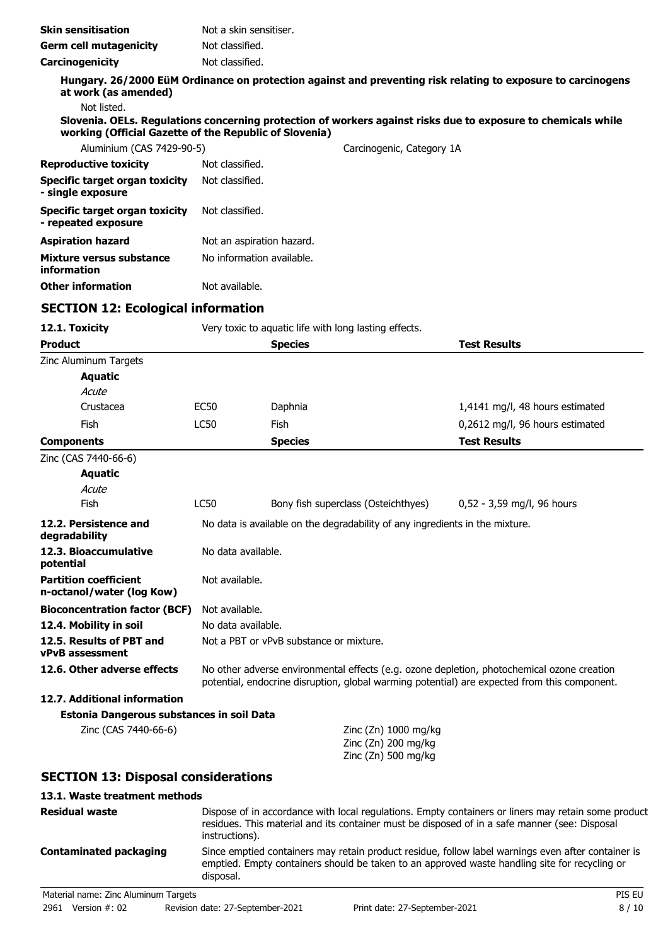| <b>Skin sensitisation</b>                                    | Not a skin sensitiser.    |                                                                              |                           |                                                                                                               |
|--------------------------------------------------------------|---------------------------|------------------------------------------------------------------------------|---------------------------|---------------------------------------------------------------------------------------------------------------|
| <b>Germ cell mutagenicity</b>                                | Not classified.           |                                                                              |                           |                                                                                                               |
| Carcinogenicity                                              | Not classified.           |                                                                              |                           |                                                                                                               |
| at work (as amended)                                         |                           |                                                                              |                           | Hungary. 26/2000 EüM Ordinance on protection against and preventing risk relating to exposure to carcinogens  |
| Not listed.                                                  |                           |                                                                              |                           |                                                                                                               |
| working (Official Gazette of the Republic of Slovenia)       |                           |                                                                              |                           | Slovenia. OELs. Regulations concerning protection of workers against risks due to exposure to chemicals while |
| Aluminium (CAS 7429-90-5)                                    |                           |                                                                              | Carcinogenic, Category 1A |                                                                                                               |
| <b>Reproductive toxicity</b>                                 | Not classified.           |                                                                              |                           |                                                                                                               |
| <b>Specific target organ toxicity</b><br>- single exposure   | Not classified.           |                                                                              |                           |                                                                                                               |
| <b>Specific target organ toxicity</b><br>- repeated exposure | Not classified.           |                                                                              |                           |                                                                                                               |
| <b>Aspiration hazard</b>                                     | Not an aspiration hazard. |                                                                              |                           |                                                                                                               |
| Mixture versus substance<br>information                      | No information available. |                                                                              |                           |                                                                                                               |
| <b>Other information</b>                                     | Not available.            |                                                                              |                           |                                                                                                               |
| <b>SECTION 12: Ecological information</b>                    |                           |                                                                              |                           |                                                                                                               |
| 12.1. Toxicity                                               |                           | Very toxic to aquatic life with long lasting effects.                        |                           |                                                                                                               |
| <b>Product</b>                                               |                           | <b>Species</b>                                                               |                           | <b>Test Results</b>                                                                                           |
| Zinc Aluminum Targets<br><b>Aquatic</b>                      |                           |                                                                              |                           |                                                                                                               |
| Acute                                                        |                           |                                                                              |                           |                                                                                                               |
| Crustacea                                                    | <b>EC50</b>               | Daphnia                                                                      |                           | 1,4141 mg/l, 48 hours estimated                                                                               |
| Fish                                                         | <b>LC50</b>               | Fish                                                                         |                           | 0,2612 mg/l, 96 hours estimated                                                                               |
| <b>Components</b>                                            |                           | <b>Species</b>                                                               |                           | <b>Test Results</b>                                                                                           |
| Zinc (CAS 7440-66-6)                                         |                           |                                                                              |                           |                                                                                                               |
| <b>Aquatic</b>                                               |                           |                                                                              |                           |                                                                                                               |
| Acute                                                        |                           |                                                                              |                           |                                                                                                               |
| Fish                                                         | <b>LC50</b>               | Bony fish superclass (Osteichthyes)                                          |                           | 0,52 - 3,59 mg/l, 96 hours                                                                                    |
| 12.2. Persistence and<br>degradability                       |                           | No data is available on the degradability of any ingredients in the mixture. |                           |                                                                                                               |
| 12.3. Bioaccumulative<br>potential                           | No data available.        |                                                                              |                           |                                                                                                               |

**12.6. Other adverse effects** No other adverse environmental effects (e.g. ozone depletion, photochemical ozone creation

#### residues. This material and its container must be disposed of in a safe manner (see: Disposal instructions).

**SECTION 13: Disposal considerations**

**Estonia Dangerous substances in soil Data**

**Bioconcentration factor (BCF)** Not available. **12.4. Mobility in soil** No data available.

# **Contaminated packaging**

**Residual waste**

**Partition coefficient n-octanol/water (log Kow)**

**vPvB assessment**

**12.7. Additional information**

**13.1. Waste treatment methods**

disposal.

Not available.

Zinc (CAS 7440-66-6) Zinc (Zn) 1000 mg/kg

**12.5. Results of PBT and** Not a PBT or vPvB substance or mixture.

Dispose of in accordance with local regulations. Empty containers or liners may retain some product

Since emptied containers may retain product residue, follow label warnings even after container is emptied. Empty containers should be taken to an approved waste handling site for recycling or

potential, endocrine disruption, global warming potential) are expected from this component.

Zinc (Zn) 200 mg/kg Zinc (Zn) 500 mg/kg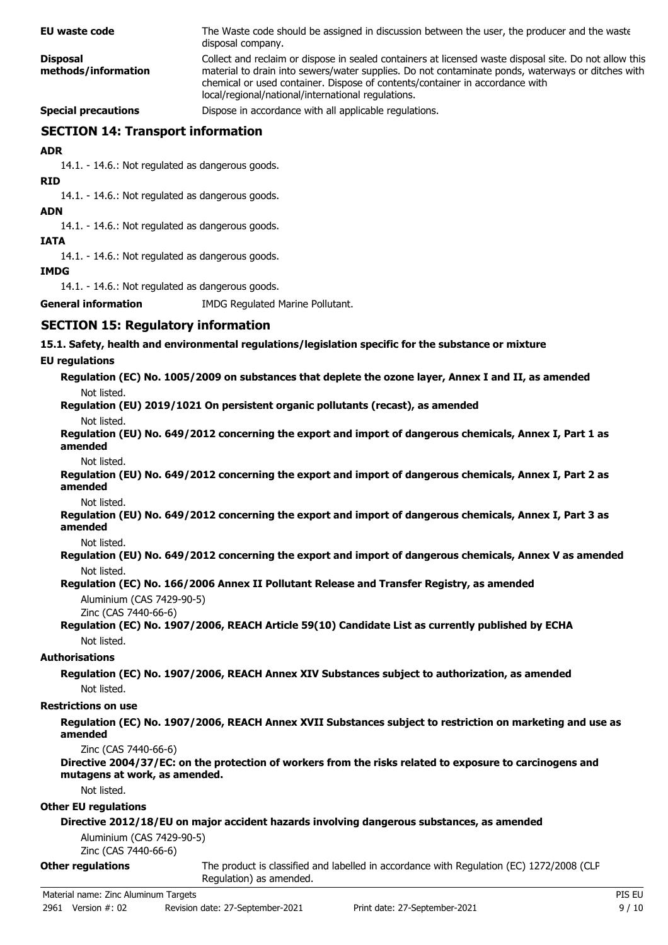| <b>EU waste code</b>                                            | The Waste code should be assigned in discussion between the user, the producer and the waste<br>disposal company.                                                                                                                                                                                                                                 |
|-----------------------------------------------------------------|---------------------------------------------------------------------------------------------------------------------------------------------------------------------------------------------------------------------------------------------------------------------------------------------------------------------------------------------------|
| <b>Disposal</b><br>methods/information                          | Collect and reclaim or dispose in sealed containers at licensed waste disposal site. Do not allow this<br>material to drain into sewers/water supplies. Do not contaminate ponds, waterways or ditches with<br>chemical or used container. Dispose of contents/container in accordance with<br>local/regional/national/international regulations. |
| <b>Special precautions</b>                                      | Dispose in accordance with all applicable regulations.                                                                                                                                                                                                                                                                                            |
| <b>SECTION 14: Transport information</b>                        |                                                                                                                                                                                                                                                                                                                                                   |
| <b>ADR</b>                                                      |                                                                                                                                                                                                                                                                                                                                                   |
| 14.1. - 14.6.: Not regulated as dangerous goods.<br><b>RID</b>  |                                                                                                                                                                                                                                                                                                                                                   |
| 14.1. - 14.6.: Not regulated as dangerous goods.<br><b>ADN</b>  |                                                                                                                                                                                                                                                                                                                                                   |
| 14.1. - 14.6.: Not regulated as dangerous goods.<br><b>IATA</b> |                                                                                                                                                                                                                                                                                                                                                   |
| 14.1. - 14.6.: Not regulated as dangerous goods.<br><b>IMDG</b> |                                                                                                                                                                                                                                                                                                                                                   |
| 14.1. - 14.6.: Not regulated as dangerous goods.                |                                                                                                                                                                                                                                                                                                                                                   |
| <b>General information</b>                                      | IMDG Regulated Marine Pollutant.                                                                                                                                                                                                                                                                                                                  |
| <b>SECTION 15: Regulatory information</b>                       |                                                                                                                                                                                                                                                                                                                                                   |
|                                                                 | 15.1. Safety, health and environmental regulations/legislation specific for the substance or mixture                                                                                                                                                                                                                                              |
| <b>EU</b> regulations                                           |                                                                                                                                                                                                                                                                                                                                                   |
| Not listed.                                                     | Regulation (EC) No. 1005/2009 on substances that deplete the ozone layer, Annex I and II, as amended                                                                                                                                                                                                                                              |
| Not listed.                                                     | Regulation (EU) 2019/1021 On persistent organic pollutants (recast), as amended                                                                                                                                                                                                                                                                   |
| amended                                                         | Regulation (EU) No. 649/2012 concerning the export and import of dangerous chemicals, Annex I, Part 1 as                                                                                                                                                                                                                                          |
| Not listed.<br>amended<br>Not listed.                           | Regulation (EU) No. 649/2012 concerning the export and import of dangerous chemicals, Annex I, Part 2 as                                                                                                                                                                                                                                          |
| amended                                                         | Regulation (EU) No. 649/2012 concerning the export and import of dangerous chemicals, Annex I, Part 3 as                                                                                                                                                                                                                                          |
| Not listed.<br>Not listed.                                      | Regulation (EU) No. 649/2012 concerning the export and import of dangerous chemicals, Annex V as amended                                                                                                                                                                                                                                          |
| Aluminium (CAS 7429-90-5)<br>Zinc (CAS 7440-66-6)               | Regulation (EC) No. 166/2006 Annex II Pollutant Release and Transfer Registry, as amended                                                                                                                                                                                                                                                         |
| Not listed.                                                     | Regulation (EC) No. 1907/2006, REACH Article 59(10) Candidate List as currently published by ECHA                                                                                                                                                                                                                                                 |
| <b>Authorisations</b>                                           |                                                                                                                                                                                                                                                                                                                                                   |
| Not listed.                                                     | Regulation (EC) No. 1907/2006, REACH Annex XIV Substances subject to authorization, as amended                                                                                                                                                                                                                                                    |
| <b>Restrictions on use</b>                                      |                                                                                                                                                                                                                                                                                                                                                   |
| amended                                                         | Regulation (EC) No. 1907/2006, REACH Annex XVII Substances subject to restriction on marketing and use as                                                                                                                                                                                                                                         |
| Zinc (CAS 7440-66-6)<br>mutagens at work, as amended.           | Directive 2004/37/EC: on the protection of workers from the risks related to exposure to carcinogens and                                                                                                                                                                                                                                          |
| Not listed.                                                     |                                                                                                                                                                                                                                                                                                                                                   |
| <b>Other EU regulations</b>                                     | Directive 2012/18/EU on major accident hazards involving dangerous substances, as amended                                                                                                                                                                                                                                                         |
| Aluminium (CAS 7429-90-5)<br>Zinc (CAS 7440-66-6)               |                                                                                                                                                                                                                                                                                                                                                   |
| <b>Other regulations</b>                                        | The product is classified and labelled in accordance with Regulation (EC) 1272/2008 (CLP                                                                                                                                                                                                                                                          |

Regulation) as amended.